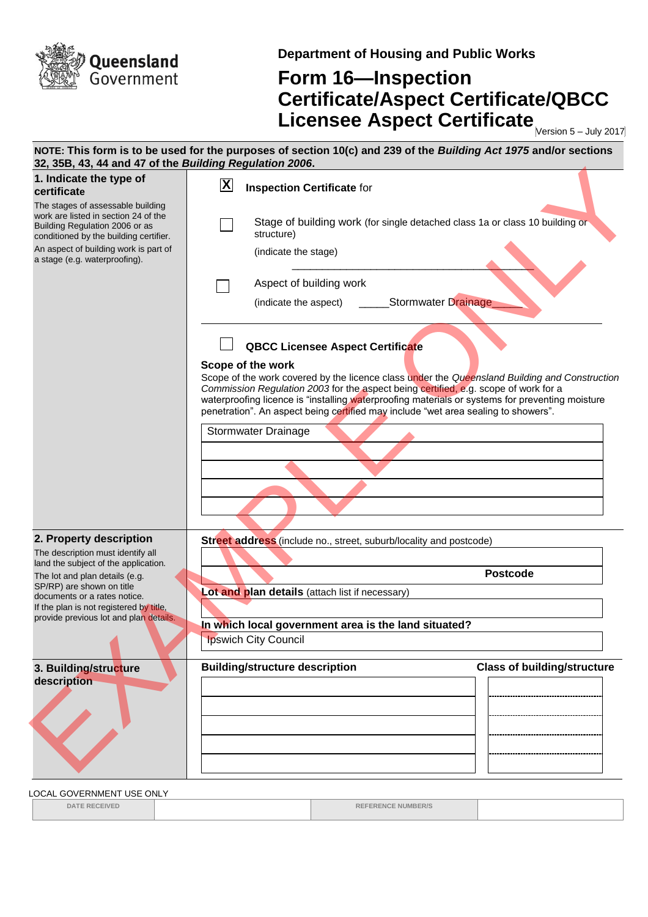

**Department of Housing and Public Works**

## **Form 16—Inspection Certificate/Aspect Certificate/QBCC Licensee Aspect Certificate** Mersion 5-July 2017

| 32, 35B, 43, 44 and 47 of the Building Regulation 2006.                                                                                               | NOTE: This form is to be used for the purposes of section 10(c) and 239 of the Building Act 1975 and/or sections                                                                                                                                                                                                                                                                                   |
|-------------------------------------------------------------------------------------------------------------------------------------------------------|----------------------------------------------------------------------------------------------------------------------------------------------------------------------------------------------------------------------------------------------------------------------------------------------------------------------------------------------------------------------------------------------------|
| 1. Indicate the type of<br>certificate                                                                                                                | $\mathbf{X}$<br><b>Inspection Certificate for</b>                                                                                                                                                                                                                                                                                                                                                  |
| The stages of assessable building<br>work are listed in section 24 of the<br>Building Regulation 2006 or as<br>conditioned by the building certifier. | Stage of building work (for single detached class 1a or class 10 building or<br>structure)                                                                                                                                                                                                                                                                                                         |
| An aspect of building work is part of<br>a stage (e.g. waterproofing).                                                                                | (indicate the stage)                                                                                                                                                                                                                                                                                                                                                                               |
|                                                                                                                                                       | Aspect of building work<br>Stormwater Drainage<br>(indicate the aspect)                                                                                                                                                                                                                                                                                                                            |
|                                                                                                                                                       | <b>QBCC Licensee Aspect Certificate</b>                                                                                                                                                                                                                                                                                                                                                            |
|                                                                                                                                                       | Scope of the work<br>Scope of the work covered by the licence class under the Queensland Building and Construction<br>Commission Regulation 2003 for the aspect being certified, e.g. scope of work for a<br>waterproofing licence is "installing waterproofing materials or systems for preventing moisture<br>penetration". An aspect being certified may include "wet area sealing to showers". |
|                                                                                                                                                       | Stormwater Drainage                                                                                                                                                                                                                                                                                                                                                                                |
|                                                                                                                                                       |                                                                                                                                                                                                                                                                                                                                                                                                    |
|                                                                                                                                                       |                                                                                                                                                                                                                                                                                                                                                                                                    |
| 2. Property description                                                                                                                               | Street address (include no., street, suburb/locality and postcode)                                                                                                                                                                                                                                                                                                                                 |
| The description must identify all<br>land the subject of the application.                                                                             |                                                                                                                                                                                                                                                                                                                                                                                                    |
| The lot and plan details (e.g.<br>SP/RP) are shown on title                                                                                           | <b>Postcode</b><br>Lot and plan details (attach list if necessary)                                                                                                                                                                                                                                                                                                                                 |
| documents or a rates notice.<br>If the plan is not registered by title,                                                                               |                                                                                                                                                                                                                                                                                                                                                                                                    |
| provide previous lot and plan details.                                                                                                                | In which local government area is the land situated?                                                                                                                                                                                                                                                                                                                                               |
|                                                                                                                                                       | Ipswich City Council                                                                                                                                                                                                                                                                                                                                                                               |
| 3. Building/structure                                                                                                                                 | <b>Class of building/structure</b><br><b>Building/structure description</b>                                                                                                                                                                                                                                                                                                                        |
| description                                                                                                                                           |                                                                                                                                                                                                                                                                                                                                                                                                    |
|                                                                                                                                                       |                                                                                                                                                                                                                                                                                                                                                                                                    |

LOCAL GOVERNMENT USE ONLY

**DATE RECEIVED REFERENCE NUMBER/S**